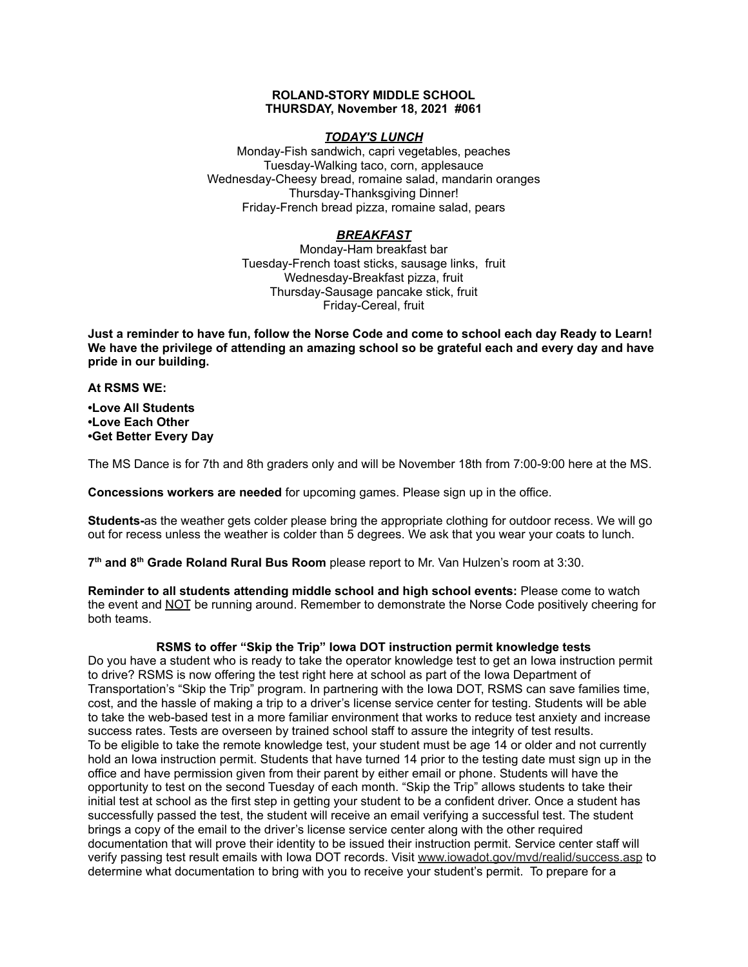### **ROLAND-STORY MIDDLE SCHOOL THURSDAY, November 18, 2021 #061**

## *TODAY'S LUNCH*

Monday-Fish sandwich, capri vegetables, peaches Tuesday-Walking taco, corn, applesauce Wednesday-Cheesy bread, romaine salad, mandarin oranges Thursday-Thanksgiving Dinner! Friday-French bread pizza, romaine salad, pears

# *BREAKFAST*

Monday-Ham breakfast bar Tuesday-French toast sticks, sausage links, fruit Wednesday-Breakfast pizza, fruit Thursday-Sausage pancake stick, fruit Friday-Cereal, fruit

Just a reminder to have fun, follow the Norse Code and come to school each day Ready to Learn! **We have the privilege of attending an amazing school so be grateful each and every day and have pride in our building.**

#### **At RSMS WE:**

**•Love All Students •Love Each Other •Get Better Every Day**

The MS Dance is for 7th and 8th graders only and will be November 18th from 7:00-9:00 here at the MS.

**Concessions workers are needed** for upcoming games. Please sign up in the office.

**Students-**as the weather gets colder please bring the appropriate clothing for outdoor recess. We will go out for recess unless the weather is colder than 5 degrees. We ask that you wear your coats to lunch.

**7 th and 8 th Grade Roland Rural Bus Room** please report to Mr. Van Hulzen's room at 3:30.

**Reminder to all students attending middle school and high school events:** Please come to watch the event and NOT be running around. Remember to demonstrate the Norse Code positively cheering for both teams.

## **RSMS to offer "Skip the Trip" Iowa DOT instruction permit knowledge tests**

Do you have a student who is ready to take the operator knowledge test to get an Iowa instruction permit to drive? RSMS is now offering the test right here at school as part of the Iowa Department of Transportation's "Skip the Trip" program. In partnering with the Iowa DOT, RSMS can save families time, cost, and the hassle of making a trip to a driver's license service center for testing. Students will be able to take the web-based test in a more familiar environment that works to reduce test anxiety and increase success rates. Tests are overseen by trained school staff to assure the integrity of test results. To be eligible to take the remote knowledge test, your student must be age 14 or older and not currently hold an Iowa instruction permit. Students that have turned 14 prior to the testing date must sign up in the office and have permission given from their parent by either email or phone. Students will have the opportunity to test on the second Tuesday of each month. "Skip the Trip" allows students to take their initial test at school as the first step in getting your student to be a confident driver. Once a student has successfully passed the test, the student will receive an email verifying a successful test. The student brings a copy of the email to the driver's license service center along with the other required documentation that will prove their identity to be issued their instruction permit. Service center staff will verify passing test result emails with Iowa DOT records. Visit [www.iowadot.gov/mvd/realid/success.asp](http://www.iowadot.gov/mvd/realid/success.asp) to determine what documentation to bring with you to receive your student's permit. To prepare for a